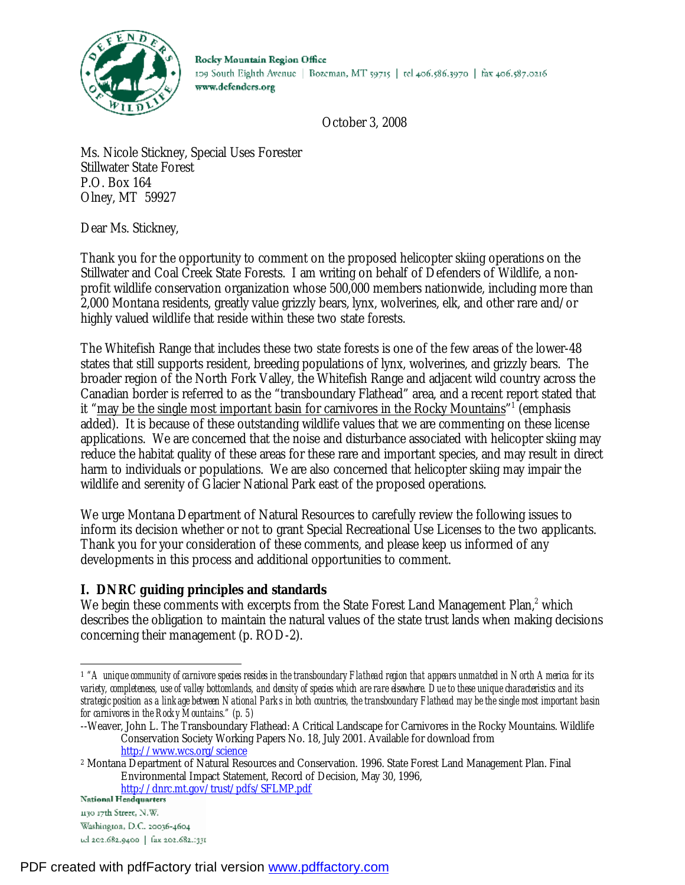

Rocky Mountain Region Office 109 South Eighth Avenue | Bozeman, MT 59715 | tel 406.586.3970 | fax 406.587.0216 www.defenders.org

October 3, 2008

Ms. Nicole Stickney, Special Uses Forester Stillwater State Forest P.O. Box 164 Olney, MT 59927

Dear Ms. Stickney,

Thank you for the opportunity to comment on the proposed helicopter skiing operations on the Stillwater and Coal Creek State Forests. I am writing on behalf of Defenders of Wildlife, a nonprofit wildlife conservation organization whose 500,000 members nationwide, including more than 2,000 Montana residents, greatly value grizzly bears, lynx, wolverines, elk, and other rare and/or highly valued wildlife that reside within these two state forests.

The Whitefish Range that includes these two state forests is one of the few areas of the lower-48 states that still supports resident, breeding populations of lynx, wolverines, and grizzly bears. The broader region of the North Fork Valley, the Whitefish Range and adjacent wild country across the Canadian border is referred to as the "transboundary Flathead" area, and a recent report stated that it "<u>may be the single most important basin for carnivores in the Rocky Mountains</u>"<sup>1</sup> (emphasis added). It is because of these outstanding wildlife values that we are commenting on these license applications. We are concerned that the noise and disturbance associated with helicopter skiing may reduce the habitat quality of these areas for these rare and important species, and may result in direct harm to individuals or populations. We are also concerned that helicopter skiing may impair the wildlife and serenity of Glacier National Park east of the proposed operations.

We urge Montana Department of Natural Resources to carefully review the following issues to inform its decision whether or not to grant Special Recreational Use Licenses to the two applicants. Thank you for your consideration of these comments, and please keep us informed of any developments in this process and additional opportunities to comment.

# **I. DNRC guiding principles and standards**

We begin these comments with excerpts from the State Forest Land Management Plan,<sup>2</sup> which describes the obligation to maintain the natural values of the state trust lands when making decisions concerning their management (p. ROD-2).

-

 $1$  "A unique community of carnivore species resides in the transboundary Flathead region that appears unmatched in North America for its variety, completeness, use of valley bottomlands, and density of species which are rare elsewhere. Due to these unique characteristics and its strategic position as a linkage between National Parks in both countries, the transboundary Flathead may be the single most important basin *for carnivores in the Rocky Mountains." (p. 5)*

<sup>--</sup>Weaver, John L. The Transboundary Flathead: A Critical Landscape for Carnivores in the Rocky Mountains. Wildlife Conservation Society Working Papers No. 18, July 2001. Available for download from <http://www.wcs.org/science>

<sup>2</sup> Montana Department of Natural Resources and Conservation. 1996. State Forest Land Management Plan. Final Environmental Impact Statement, Record of Decision, May 30, 1996,

<http://dnrc.mt.gov/trust/pdfs/SFLMP.pdf>

<sup>1130 17</sup>th Street, N.W. Washington, D.C. 20036-4604 ud 202.682.9400 | fax 202.682.1331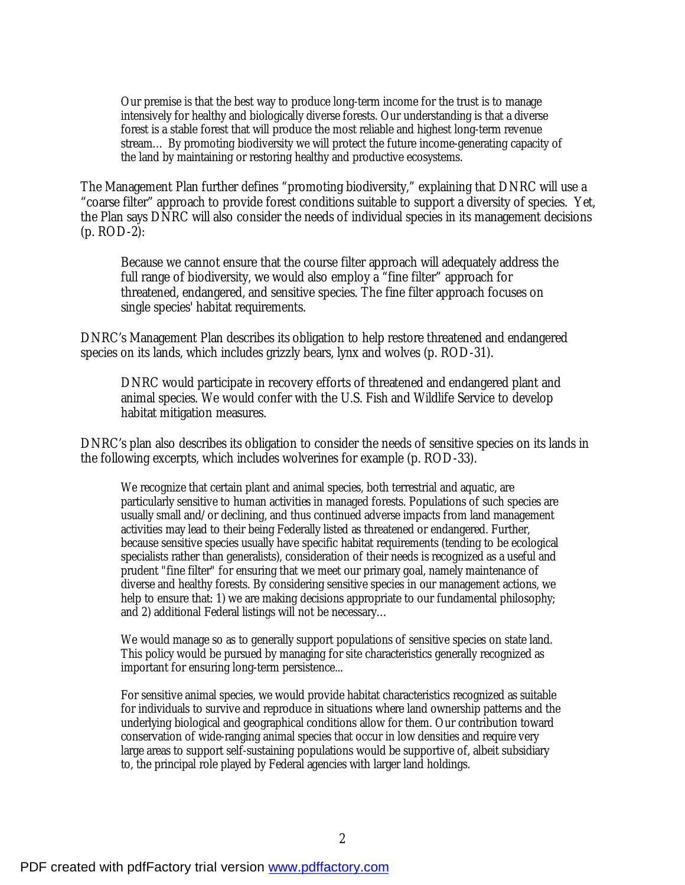Our premise is that the best way to produce long-term income for the trust is to manage intensively for healthy and biologically diverse forests. Our understanding is that a diverse forest is a stable forest that will produce the most reliable and highest long-term revenue stream… By promoting biodiversity we will protect the future income-generating capacity of the land by maintaining or restoring healthy and productive ecosystems.

The Management Plan further defines "promoting biodiversity," explaining that DNRC will use a "coarse filter" approach to provide forest conditions suitable to support a diversity of species. Yet, the Plan says DNRC will also consider the needs of individual species in its management decisions (p. ROD-2):

Because we cannot ensure that the course filter approach will adequately address the full range of biodiversity, we would also employ a "fine filter" approach for threatened, endangered, and sensitive species. The fine filter approach focuses on single species' habitat requirements.

DNRC's Management Plan describes its obligation to help restore threatened and endangered species on its lands, which includes grizzly bears, lynx and wolves (p. ROD-31).

DNRC would participate in recovery efforts of threatened and endangered plant and animal species. We would confer with the U.S. Fish and Wildlife Service to develop habitat mitigation measures.

DNRC's plan also describes its obligation to consider the needs of sensitive species on its lands in the following excerpts, which includes wolverines for example (p. ROD-33).

We recognize that certain plant and animal species, both terrestrial and aquatic, are particularly sensitive to human activities in managed forests. Populations of such species are usually small and/or declining, and thus continued adverse impacts from land management activities may lead to their being Federally listed as threatened or endangered. Further, because sensitive species usually have specific habitat requirements (tending to be ecological specialists rather than generalists), consideration of their needs is recognized as a useful and prudent "fine filter" for ensuring that we meet our primary goal, namely maintenance of diverse and healthy forests. By considering sensitive species in our management actions, we help to ensure that: 1) we are making decisions appropriate to our fundamental philosophy; and 2) additional Federal listings will not be necessary…

We would manage so as to generally support populations of sensitive species on state land. This policy would be pursued by managing for site characteristics generally recognized as important for ensuring long-term persistence...

For sensitive animal species, we would provide habitat characteristics recognized as suitable for individuals to survive and reproduce in situations where land ownership patterns and the underlying biological and geographical conditions allow for them. Our contribution toward conservation of wide-ranging animal species that occur in low densities and require very large areas to support self-sustaining populations would be supportive of, albeit subsidiary to, the principal role played by Federal agencies with larger land holdings.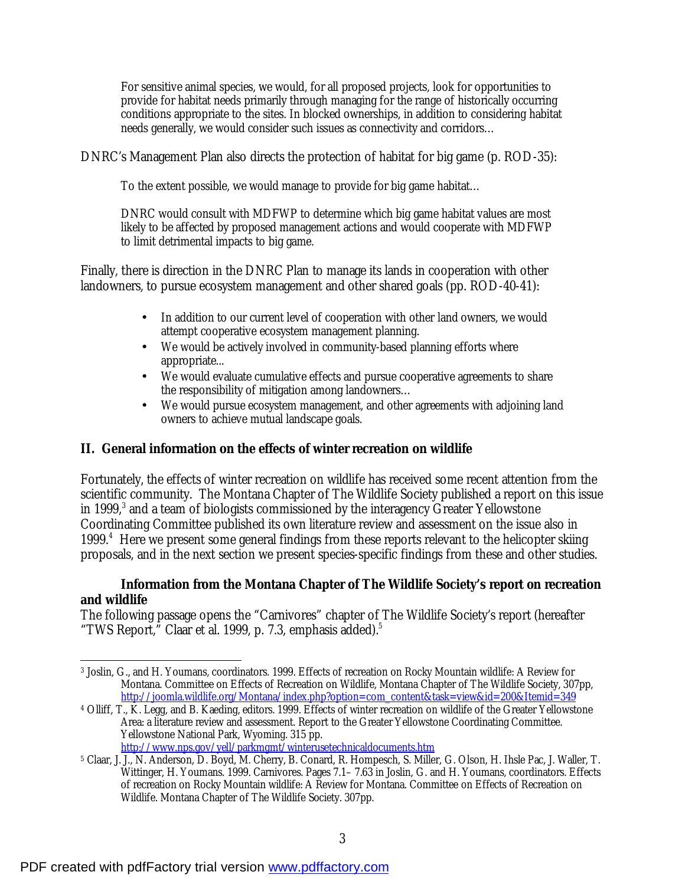For sensitive animal species, we would, for all proposed projects, look for opportunities to provide for habitat needs primarily through managing for the range of historically occurring conditions appropriate to the sites. In blocked ownerships, in addition to considering habitat needs generally, we would consider such issues as connectivity and corridors…

DNRC's Management Plan also directs the protection of habitat for big game (p. ROD-35):

To the extent possible, we would manage to provide for big game habitat…

DNRC would consult with MDFWP to determine which big game habitat values are most likely to be affected by proposed management actions and would cooperate with MDFWP to limit detrimental impacts to big game.

Finally, there is direction in the DNRC Plan to manage its lands in cooperation with other landowners, to pursue ecosystem management and other shared goals (pp. ROD-40-41):

- In addition to our current level of cooperation with other land owners, we would attempt cooperative ecosystem management planning.
- We would be actively involved in community-based planning efforts where appropriate...
- We would evaluate cumulative effects and pursue cooperative agreements to share the responsibility of mitigation among landowners…
- We would pursue ecosystem management, and other agreements with adjoining land owners to achieve mutual landscape goals.

# **II. General information on the effects of winter recreation on wildlife**

Fortunately, the effects of winter recreation on wildlife has received some recent attention from the scientific community. The Montana Chapter of The Wildlife Society published a report on this issue in 1999,<sup>3</sup> and a team of biologists commissioned by the interagency Greater Yellowstone Coordinating Committee published its own literature review and assessment on the issue also in 1999.<sup>4</sup> Here we present some general findings from these reports relevant to the helicopter skiing proposals, and in the next section we present species-specific findings from these and other studies.

## **Information from the Montana Chapter of The Wildlife Society's report on recreation and wildlife**

The following passage opens the "Carnivores" chapter of The Wildlife Society's report (hereafter "TWS Report," Claar et al. 1999, p. 7.3, emphasis added).<sup>5</sup>

 $\overline{a}$ <sup>3</sup> Joslin, G., and H. Youmans, coordinators. 1999. Effects of recreation on Rocky Mountain wildlife: A Review for Montana. Committee on Effects of Recreation on Wildlife, Montana Chapter of The Wildlife Society, 307pp, [http://joomla.wildlife.org/Montana/index.php?option=com\\_content&task=view&id=200&Itemid=349](http://joomla.wildlife.org/Montana/index.php?option=com_content&task=view&id=200&Itemid=349)

<sup>4</sup> Olliff, T., K. Legg, and B. Kaeding, editors. 1999. Effects of winter recreation on wildlife of the Greater Yellowstone Area: a literature review and assessment. Report to the Greater Yellowstone Coordinating Committee. Yellowstone National Park, Wyoming. 315 pp. <http://www.nps.gov/yell/parkmgmt/winterusetechnicaldocuments.htm>

<sup>5</sup> Claar, J. J., N. Anderson, D. Boyd, M. Cherry, B. Conard, R. Hompesch, S. Miller, G. Olson, H. Ihsle Pac, J. Waller, T. Wittinger, H. Youmans. 1999. Carnivores. Pages 7.1– 7.63 in Joslin, G. and H. Youmans, coordinators. Effects of recreation on Rocky Mountain wildlife: A Review for Montana. Committee on Effects of Recreation on Wildlife. Montana Chapter of The Wildlife Society. 307pp.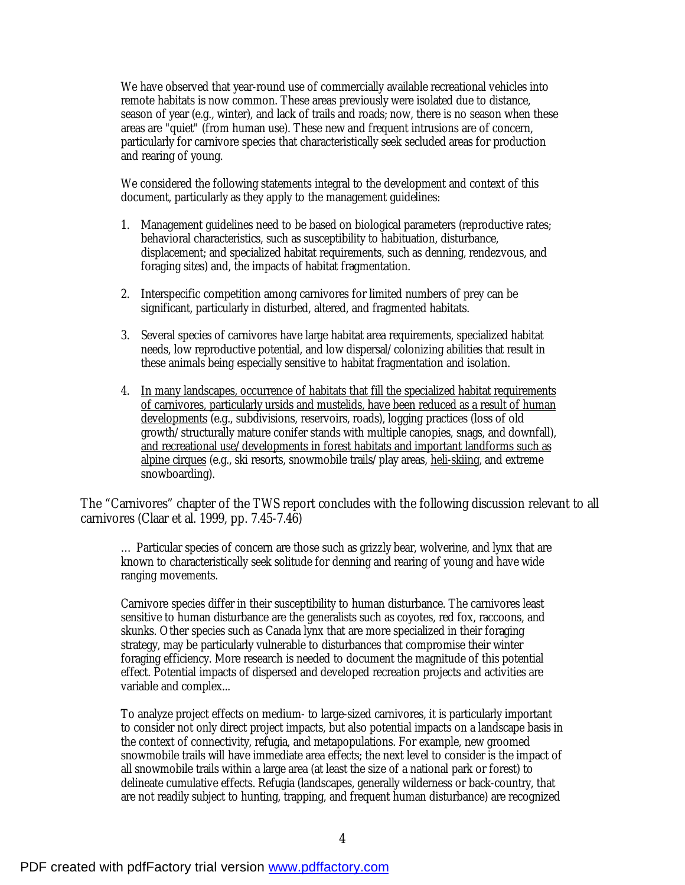We have observed that year-round use of commercially available recreational vehicles into remote habitats is now common. These areas previously were isolated due to distance, season of year (e.g., winter), and lack of trails and roads; now, there is no season when these areas are "quiet" (from human use). These new and frequent intrusions are of concern, particularly for carnivore species that characteristically seek secluded areas for production and rearing of young.

We considered the following statements integral to the development and context of this document, particularly as they apply to the management guidelines:

- 1. Management guidelines need to be based on biological parameters (reproductive rates; behavioral characteristics, such as susceptibility to habituation, disturbance, displacement; and specialized habitat requirements, such as denning, rendezvous, and foraging sites) and, the impacts of habitat fragmentation.
- 2. Interspecific competition among carnivores for limited numbers of prey can be significant, particularly in disturbed, altered, and fragmented habitats.
- 3. Several species of carnivores have large habitat area requirements, specialized habitat needs, low reproductive potential, and low dispersal/colonizing abilities that result in these animals being especially sensitive to habitat fragmentation and isolation.
- 4. In many landscapes, occurrence of habitats that fill the specialized habitat requirements of carnivores, particularly ursids and mustelids, have been reduced as a result of human developments (e.g., subdivisions, reservoirs, roads), logging practices (loss of old growth/structurally mature conifer stands with multiple canopies, snags, and downfall), and recreational use/developments in forest habitats and important landforms such as alpine cirques (e.g., ski resorts, snowmobile trails/play areas, heli-skiing, and extreme snowboarding).

The "Carnivores" chapter of the TWS report concludes with the following discussion relevant to all carnivores (Claar et al. 1999, pp. 7.45-7.46)

… Particular species of concern are those such as grizzly bear, wolverine, and lynx that are known to characteristically seek solitude for denning and rearing of young and have wide ranging movements.

Carnivore species differ in their susceptibility to human disturbance. The carnivores least sensitive to human disturbance are the generalists such as coyotes, red fox, raccoons, and skunks. Other species such as Canada lynx that are more specialized in their foraging strategy, may be particularly vulnerable to disturbances that compromise their winter foraging efficiency. More research is needed to document the magnitude of this potential effect. Potential impacts of dispersed and developed recreation projects and activities are variable and complex...

To analyze project effects on medium- to large-sized carnivores, it is particularly important to consider not only direct project impacts, but also potential impacts on a landscape basis in the context of connectivity, refugia, and metapopulations. For example, new groomed snowmobile trails will have immediate area effects; the next level to consider is the impact of all snowmobile trails within a large area (at least the size of a national park or forest) to delineate cumulative effects. Refugia (landscapes, generally wilderness or back-country, that are not readily subject to hunting, trapping, and frequent human disturbance) are recognized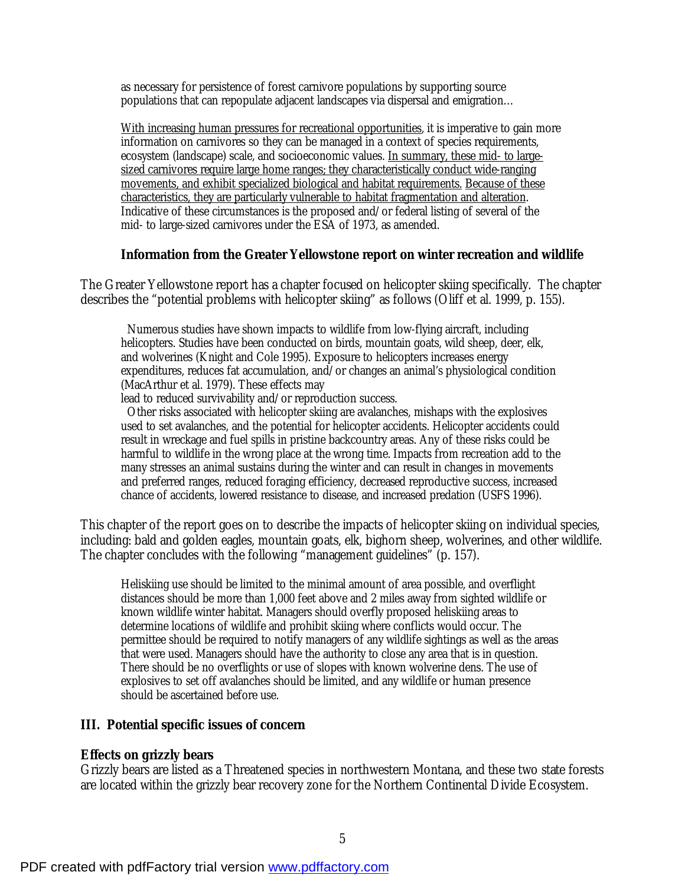as necessary for persistence of forest carnivore populations by supporting source populations that can repopulate adjacent landscapes via dispersal and emigration…

With increasing human pressures for recreational opportunities, it is imperative to gain more information on carnivores so they can be managed in a context of species requirements, ecosystem (landscape) scale, and socioeconomic values. In summary, these mid- to largesized carnivores require large home ranges; they characteristically conduct wide-ranging movements, and exhibit specialized biological and habitat requirements. Because of these characteristics, they are particularly vulnerable to habitat fragmentation and alteration. Indicative of these circumstances is the proposed and/or federal listing of several of the mid- to large-sized carnivores under the ESA of 1973, as amended.

#### **Information from the Greater Yellowstone report on winter recreation and wildlife**

The Greater Yellowstone report has a chapter focused on helicopter skiing specifically. The chapter describes the "potential problems with helicopter skiing" as follows (Oliff et al. 1999, p. 155).

 Numerous studies have shown impacts to wildlife from low-flying aircraft, including helicopters. Studies have been conducted on birds, mountain goats, wild sheep, deer, elk, and wolverines (Knight and Cole 1995). Exposure to helicopters increases energy expenditures, reduces fat accumulation, and/or changes an animal's physiological condition (MacArthur et al. 1979). These effects may

lead to reduced survivability and/or reproduction success.

 Other risks associated with helicopter skiing are avalanches, mishaps with the explosives used to set avalanches, and the potential for helicopter accidents. Helicopter accidents could result in wreckage and fuel spills in pristine backcountry areas. Any of these risks could be harmful to wildlife in the wrong place at the wrong time. Impacts from recreation add to the many stresses an animal sustains during the winter and can result in changes in movements and preferred ranges, reduced foraging efficiency, decreased reproductive success, increased chance of accidents, lowered resistance to disease, and increased predation (USFS 1996).

This chapter of the report goes on to describe the impacts of helicopter skiing on individual species, including: bald and golden eagles, mountain goats, elk, bighorn sheep, wolverines, and other wildlife. The chapter concludes with the following "management guidelines" (p. 157).

Heliskiing use should be limited to the minimal amount of area possible, and overflight distances should be more than 1,000 feet above and 2 miles away from sighted wildlife or known wildlife winter habitat. Managers should overfly proposed heliskiing areas to determine locations of wildlife and prohibit skiing where conflicts would occur. The permittee should be required to notify managers of any wildlife sightings as well as the areas that were used. Managers should have the authority to close any area that is in question. There should be no overflights or use of slopes with known wolverine dens. The use of explosives to set off avalanches should be limited, and any wildlife or human presence should be ascertained before use.

## **III. Potential specific issues of concern**

## **Effects on grizzly bears**

Grizzly bears are listed as a Threatened species in northwestern Montana, and these two state forests are located within the grizzly bear recovery zone for the Northern Continental Divide Ecosystem.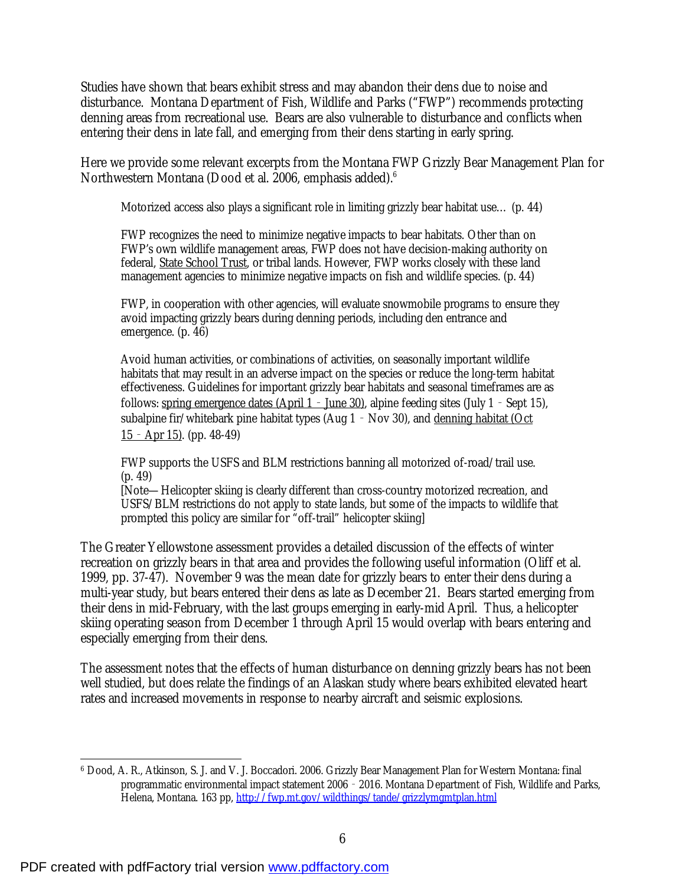Studies have shown that bears exhibit stress and may abandon their dens due to noise and disturbance. Montana Department of Fish, Wildlife and Parks ("FWP") recommends protecting denning areas from recreational use. Bears are also vulnerable to disturbance and conflicts when entering their dens in late fall, and emerging from their dens starting in early spring.

Here we provide some relevant excerpts from the Montana FWP Grizzly Bear Management Plan for Northwestern Montana (Dood et al. 2006, emphasis added).<sup>6</sup>

Motorized access also plays a significant role in limiting grizzly bear habitat use… (p. 44)

FWP recognizes the need to minimize negative impacts to bear habitats. Other than on FWP's own wildlife management areas, FWP does not have decision-making authority on federal, State School Trust, or tribal lands. However, FWP works closely with these land management agencies to minimize negative impacts on fish and wildlife species. (p. 44)

FWP, in cooperation with other agencies, will evaluate snowmobile programs to ensure they avoid impacting grizzly bears during denning periods, including den entrance and emergence. (p. 46)

Avoid human activities, or combinations of activities, on seasonally important wildlife habitats that may result in an adverse impact on the species or reduce the long-term habitat effectiveness. Guidelines for important grizzly bear habitats and seasonal timeframes are as follows: spring emergence dates (April  $1 -$  June 30), alpine feeding sites (July 1 - Sept 15), subalpine fir/whitebark pine habitat types (Aug  $1 - Nov 30$ ), and denning habitat (Oct  $15 -$  Apr 15). (pp. 48-49)

FWP supports the USFS and BLM restrictions banning all motorized of-road/trail use. (p. 49)

[Note—Helicopter skiing is clearly different than cross-country motorized recreation, and USFS/BLM restrictions do not apply to state lands, but some of the impacts to wildlife that prompted this policy are similar for "off-trail" helicopter skiing]

The Greater Yellowstone assessment provides a detailed discussion of the effects of winter recreation on grizzly bears in that area and provides the following useful information (Oliff et al. 1999, pp. 37-47). November 9 was the mean date for grizzly bears to enter their dens during a multi-year study, but bears entered their dens as late as December 21. Bears started emerging from their dens in mid-February, with the last groups emerging in early-mid April. Thus, a helicopter skiing operating season from December 1 through April 15 would overlap with bears entering and especially emerging from their dens.

The assessment notes that the effects of human disturbance on denning grizzly bears has not been well studied, but does relate the findings of an Alaskan study where bears exhibited elevated heart rates and increased movements in response to nearby aircraft and seismic explosions.

<sup>-</sup><sup>6</sup> Dood, A. R., Atkinson, S. J. and V. J. Boccadori. 2006. Grizzly Bear Management Plan for Western Montana: final programmatic environmental impact statement 2006‐2016. Montana Department of Fish, Wildlife and Parks, Helena, Montana. 163 pp,<http://fwp.mt.gov/wildthings/tande/grizzlymgmtplan.html>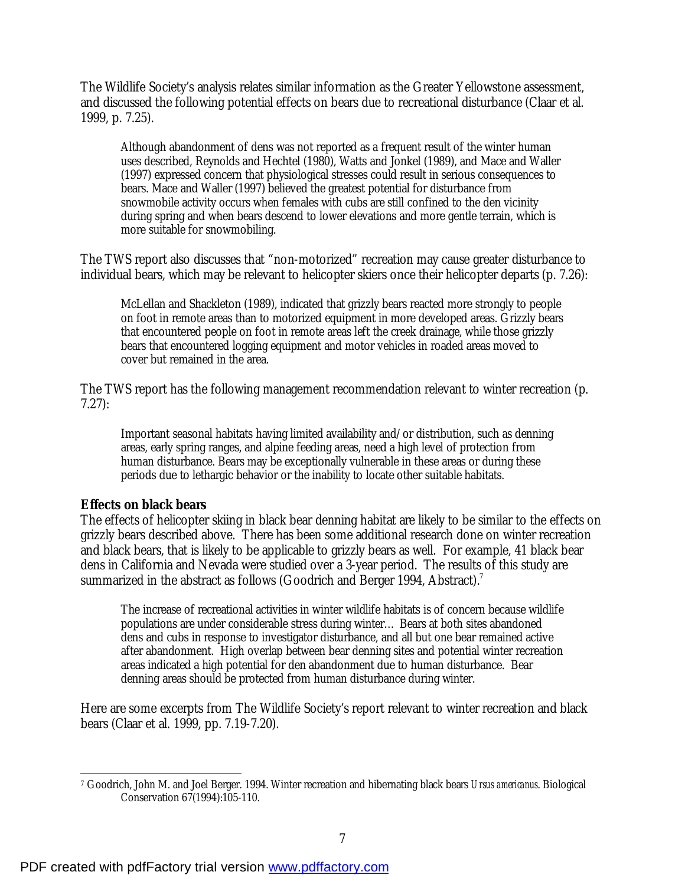The Wildlife Society's analysis relates similar information as the Greater Yellowstone assessment, and discussed the following potential effects on bears due to recreational disturbance (Claar et al. 1999, p. 7.25).

Although abandonment of dens was not reported as a frequent result of the winter human uses described, Reynolds and Hechtel (1980), Watts and Jonkel (1989), and Mace and Waller (1997) expressed concern that physiological stresses could result in serious consequences to bears. Mace and Waller (1997) believed the greatest potential for disturbance from snowmobile activity occurs when females with cubs are still confined to the den vicinity during spring and when bears descend to lower elevations and more gentle terrain, which is more suitable for snowmobiling.

The TWS report also discusses that "non-motorized" recreation may cause greater disturbance to individual bears, which may be relevant to helicopter skiers once their helicopter departs (p. 7.26):

McLellan and Shackleton (1989), indicated that grizzly bears reacted more strongly to people on foot in remote areas than to motorized equipment in more developed areas. Grizzly bears that encountered people on foot in remote areas left the creek drainage, while those grizzly bears that encountered logging equipment and motor vehicles in roaded areas moved to cover but remained in the area.

The TWS report has the following management recommendation relevant to winter recreation (p. 7.27):

Important seasonal habitats having limited availability and/or distribution, such as denning areas, early spring ranges, and alpine feeding areas, need a high level of protection from human disturbance. Bears may be exceptionally vulnerable in these areas or during these periods due to lethargic behavior or the inability to locate other suitable habitats.

## **Effects on black bears**

The effects of helicopter skiing in black bear denning habitat are likely to be similar to the effects on grizzly bears described above. There has been some additional research done on winter recreation and black bears, that is likely to be applicable to grizzly bears as well. For example, 41 black bear dens in California and Nevada were studied over a 3-year period. The results of this study are summarized in the abstract as follows (Goodrich and Berger 1994, Abstract).<sup>7</sup>

The increase of recreational activities in winter wildlife habitats is of concern because wildlife populations are under considerable stress during winter… Bears at both sites abandoned dens and cubs in response to investigator disturbance, and all but one bear remained active after abandonment. High overlap between bear denning sites and potential winter recreation areas indicated a high potential for den abandonment due to human disturbance. Bear denning areas should be protected from human disturbance during winter.

Here are some excerpts from The Wildlife Society's report relevant to winter recreation and black bears (Claar et al. 1999, pp. 7.19-7.20).

 $\overline{a}$ <sup>7</sup> Goodrich, John M. and Joel Berger. 1994. Winter recreation and hibernating black bears *Ursus americanus*. Biological Conservation 67(1994):105-110.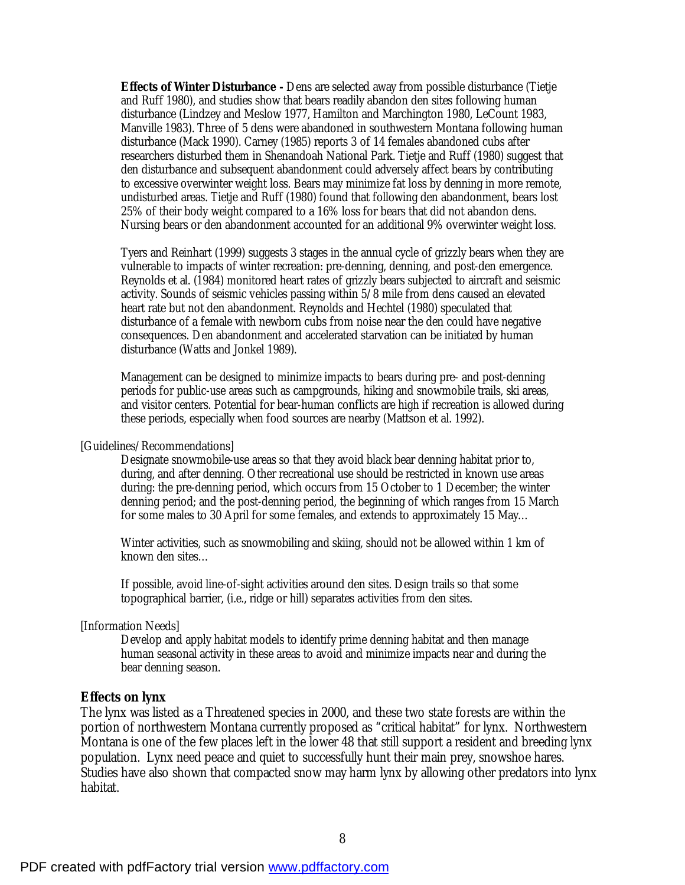**Effects of Winter Disturbance -** Dens are selected away from possible disturbance (Tietje and Ruff 1980), and studies show that bears readily abandon den sites following human disturbance (Lindzey and Meslow 1977, Hamilton and Marchington 1980, LeCount 1983, Manville 1983). Three of 5 dens were abandoned in southwestern Montana following human disturbance (Mack 1990). Carney (1985) reports 3 of 14 females abandoned cubs after researchers disturbed them in Shenandoah National Park. Tietje and Ruff (1980) suggest that den disturbance and subsequent abandonment could adversely affect bears by contributing to excessive overwinter weight loss. Bears may minimize fat loss by denning in more remote, undisturbed areas. Tietje and Ruff (1980) found that following den abandonment, bears lost 25% of their body weight compared to a 16% loss for bears that did not abandon dens. Nursing bears or den abandonment accounted for an additional 9% overwinter weight loss.

Tyers and Reinhart (1999) suggests 3 stages in the annual cycle of grizzly bears when they are vulnerable to impacts of winter recreation: pre-denning, denning, and post-den emergence. Reynolds et al. (1984) monitored heart rates of grizzly bears subjected to aircraft and seismic activity. Sounds of seismic vehicles passing within 5/8 mile from dens caused an elevated heart rate but not den abandonment. Reynolds and Hechtel (1980) speculated that disturbance of a female with newborn cubs from noise near the den could have negative consequences. Den abandonment and accelerated starvation can be initiated by human disturbance (Watts and Jonkel 1989).

Management can be designed to minimize impacts to bears during pre- and post-denning periods for public-use areas such as campgrounds, hiking and snowmobile trails, ski areas, and visitor centers. Potential for bear-human conflicts are high if recreation is allowed during these periods, especially when food sources are nearby (Mattson et al. 1992).

[Guidelines/Recommendations]

Designate snowmobile-use areas so that they avoid black bear denning habitat prior to, during, and after denning. Other recreational use should be restricted in known use areas during: the pre-denning period, which occurs from 15 October to 1 December; the winter denning period; and the post-denning period, the beginning of which ranges from 15 March for some males to 30 April for some females, and extends to approximately 15 May…

Winter activities, such as snowmobiling and skiing, should not be allowed within 1 km of known den sites…

If possible, avoid line-of-sight activities around den sites. Design trails so that some topographical barrier, (i.e., ridge or hill) separates activities from den sites.

#### [Information Needs]

Develop and apply habitat models to identify prime denning habitat and then manage human seasonal activity in these areas to avoid and minimize impacts near and during the bear denning season.

#### **Effects on lynx**

The lynx was listed as a Threatened species in 2000, and these two state forests are within the portion of northwestern Montana currently proposed as "critical habitat" for lynx. Northwestern Montana is one of the few places left in the lower 48 that still support a resident and breeding lynx population. Lynx need peace and quiet to successfully hunt their main prey, snowshoe hares. Studies have also shown that compacted snow may harm lynx by allowing other predators into lynx habitat.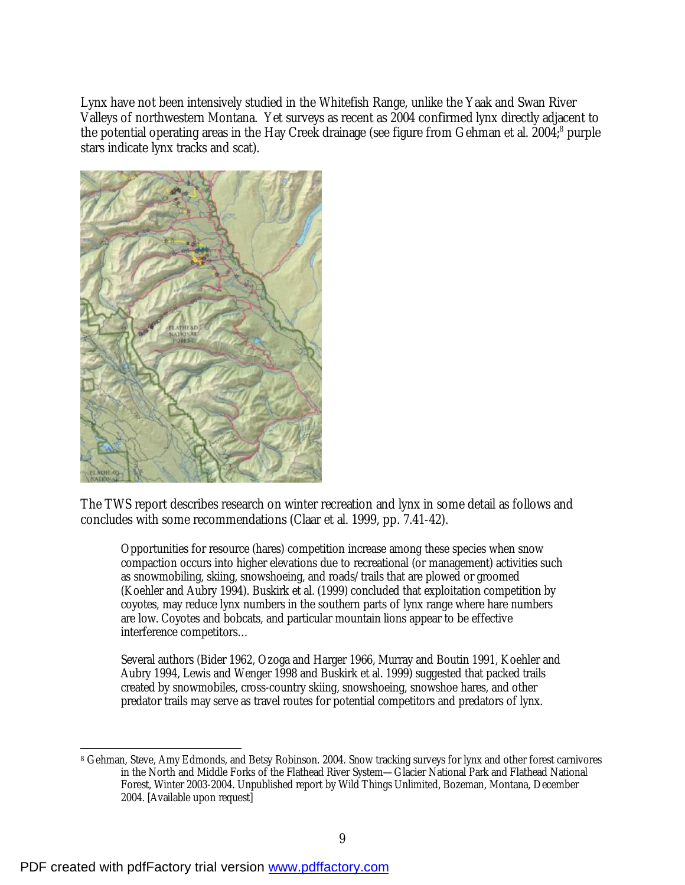Lynx have not been intensively studied in the Whitefish Range, unlike the Yaak and Swan River Valleys of northwestern Montana. Yet surveys as recent as 2004 confirmed lynx directly adjacent to the potential operating areas in the Hay Creek drainage (see figure from Gehman et al. 2004;<sup>8</sup> purple stars indicate lynx tracks and scat).



The TWS report describes research on winter recreation and lynx in some detail as follows and concludes with some recommendations (Claar et al. 1999, pp. 7.41-42).

Opportunities for resource (hares) competition increase among these species when snow compaction occurs into higher elevations due to recreational (or management) activities such as snowmobiling, skiing, snowshoeing, and roads/trails that are plowed or groomed (Koehler and Aubry 1994). Buskirk et al. (1999) concluded that exploitation competition by coyotes, may reduce lynx numbers in the southern parts of lynx range where hare numbers are low. Coyotes and bobcats, and particular mountain lions appear to be effective interference competitors…

Several authors (Bider 1962, Ozoga and Harger 1966, Murray and Boutin 1991, Koehler and Aubry 1994, Lewis and Wenger 1998 and Buskirk et al. 1999) suggested that packed trails created by snowmobiles, cross-country skiing, snowshoeing, snowshoe hares, and other predator trails may serve as travel routes for potential competitors and predators of lynx.

<sup>-</sup><sup>8</sup> Gehman, Steve, Amy Edmonds, and Betsy Robinson. 2004. Snow tracking surveys for lynx and other forest carnivores in the North and Middle Forks of the Flathead River System—Glacier National Park and Flathead National Forest, Winter 2003-2004. Unpublished report by Wild Things Unlimited, Bozeman, Montana, December 2004. [Available upon request]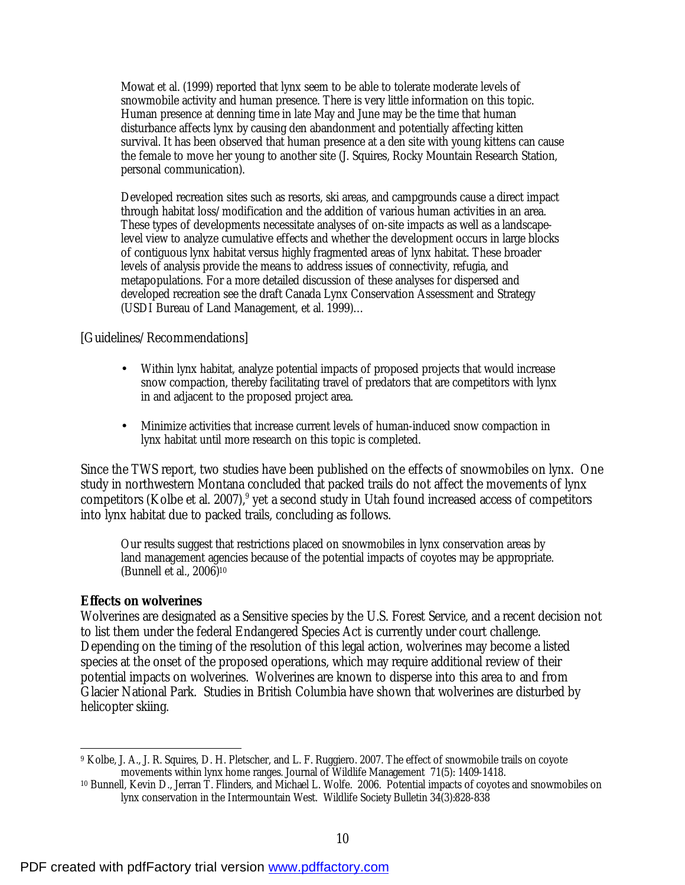Mowat et al. (1999) reported that lynx seem to be able to tolerate moderate levels of snowmobile activity and human presence. There is very little information on this topic. Human presence at denning time in late May and June may be the time that human disturbance affects lynx by causing den abandonment and potentially affecting kitten survival. It has been observed that human presence at a den site with young kittens can cause the female to move her young to another site (J. Squires, Rocky Mountain Research Station, personal communication).

Developed recreation sites such as resorts, ski areas, and campgrounds cause a direct impact through habitat loss/modification and the addition of various human activities in an area. These types of developments necessitate analyses of on-site impacts as well as a landscapelevel view to analyze cumulative effects and whether the development occurs in large blocks of contiguous lynx habitat versus highly fragmented areas of lynx habitat. These broader levels of analysis provide the means to address issues of connectivity, refugia, and metapopulations. For a more detailed discussion of these analyses for dispersed and developed recreation see the draft Canada Lynx Conservation Assessment and Strategy (USDI Bureau of Land Management, et al. 1999)…

[Guidelines/Recommendations]

- Within lynx habitat, analyze potential impacts of proposed projects that would increase snow compaction, thereby facilitating travel of predators that are competitors with lynx in and adjacent to the proposed project area.
- Minimize activities that increase current levels of human-induced snow compaction in lynx habitat until more research on this topic is completed.

Since the TWS report, two studies have been published on the effects of snowmobiles on lynx. One study in northwestern Montana concluded that packed trails do not affect the movements of lynx competitors (Kolbe et al. 2007), $9$  yet a second study in Utah found increased access of competitors into lynx habitat due to packed trails, concluding as follows.

Our results suggest that restrictions placed on snowmobiles in lynx conservation areas by land management agencies because of the potential impacts of coyotes may be appropriate. (Bunnell et al., 2006)<sup>10</sup>

## **Effects on wolverines**

Wolverines are designated as a Sensitive species by the U.S. Forest Service, and a recent decision not to list them under the federal Endangered Species Act is currently under court challenge. Depending on the timing of the resolution of this legal action, wolverines may become a listed species at the onset of the proposed operations, which may require additional review of their potential impacts on wolverines. Wolverines are known to disperse into this area to and from Glacier National Park. Studies in British Columbia have shown that wolverines are disturbed by helicopter skiing.

 $\overline{a}$ <sup>9</sup> Kolbe, J. A., J. R. Squires, D. H. Pletscher, and L. F. Ruggiero. 2007. The effect of snowmobile trails on coyote movements within lynx home ranges. Journal of Wildlife Management 71(5): 1409-1418.

<sup>10</sup> Bunnell, Kevin D., Jerran T. Flinders, and Michael L. Wolfe. 2006. Potential impacts of coyotes and snowmobiles on lynx conservation in the Intermountain West. Wildlife Society Bulletin 34(3):828-838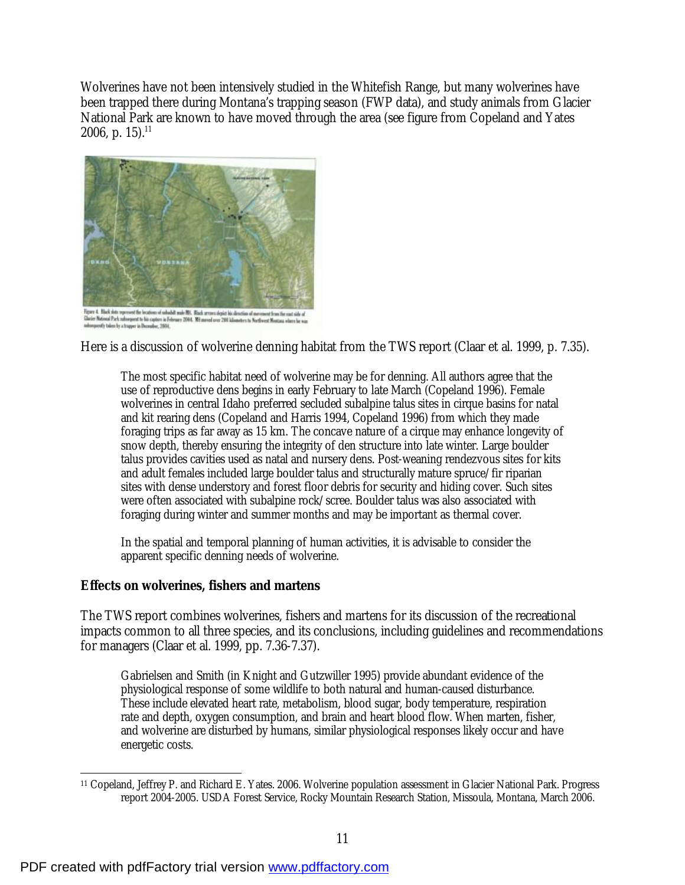Wolverines have not been intensively studied in the Whitefish Range, but many wolverines have been trapped there during Montana's trapping season (FWP data), and study animals from Glacier National Park are known to have moved through the area (see figure from Copeland and Yates  $2006$ , p.  $15).^{11}$ 



Figure 4. Black data represent the location of sababilt mate NS. Wash arrans depict his direction of memoscat from the east side of<br>Clarier Matomal Pack ruborquent to bis capture in February 2004. NS moved ever 200 idiomet

Here is a discussion of wolverine denning habitat from the TWS report (Claar et al. 1999, p. 7.35).

The most specific habitat need of wolverine may be for denning. All authors agree that the use of reproductive dens begins in early February to late March (Copeland 1996). Female wolverines in central Idaho preferred secluded subalpine talus sites in cirque basins for natal and kit rearing dens (Copeland and Harris 1994, Copeland 1996) from which they made foraging trips as far away as 15 km. The concave nature of a cirque may enhance longevity of snow depth, thereby ensuring the integrity of den structure into late winter. Large boulder talus provides cavities used as natal and nursery dens. Post-weaning rendezvous sites for kits and adult females included large boulder talus and structurally mature spruce/fir riparian sites with dense understory and forest floor debris for security and hiding cover. Such sites were often associated with subalpine rock/scree. Boulder talus was also associated with foraging during winter and summer months and may be important as thermal cover.

In the spatial and temporal planning of human activities, it is advisable to consider the apparent specific denning needs of wolverine.

# **Effects on wolverines, fishers and martens**

The TWS report combines wolverines, fishers and martens for its discussion of the recreational impacts common to all three species, and its conclusions, including guidelines and recommendations for managers (Claar et al. 1999, pp. 7.36-7.37).

Gabrielsen and Smith (in Knight and Gutzwiller 1995) provide abundant evidence of the physiological response of some wildlife to both natural and human-caused disturbance. These include elevated heart rate, metabolism, blood sugar, body temperature, respiration rate and depth, oxygen consumption, and brain and heart blood flow. When marten, fisher, and wolverine are disturbed by humans, similar physiological responses likely occur and have energetic costs.

 $\overline{a}$ <sup>11</sup> Copeland, Jeffrey P. and Richard E. Yates. 2006. Wolverine population assessment in Glacier National Park. Progress report 2004-2005. USDA Forest Service, Rocky Mountain Research Station, Missoula, Montana, March 2006.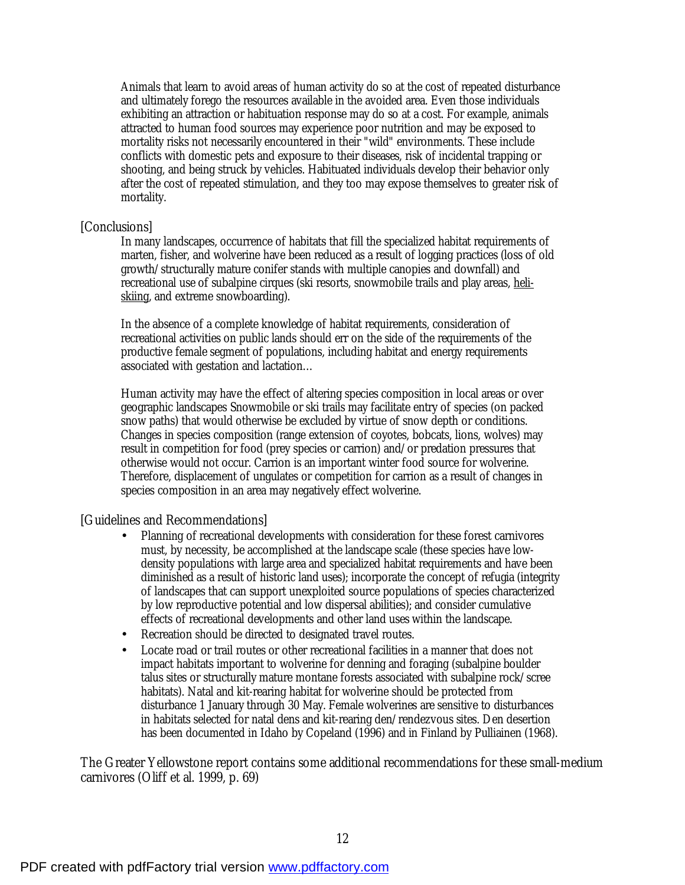Animals that learn to avoid areas of human activity do so at the cost of repeated disturbance and ultimately forego the resources available in the avoided area. Even those individuals exhibiting an attraction or habituation response may do so at a cost. For example, animals attracted to human food sources may experience poor nutrition and may be exposed to mortality risks not necessarily encountered in their "wild" environments. These include conflicts with domestic pets and exposure to their diseases, risk of incidental trapping or shooting, and being struck by vehicles. Habituated individuals develop their behavior only after the cost of repeated stimulation, and they too may expose themselves to greater risk of mortality.

#### [Conclusions]

In many landscapes, occurrence of habitats that fill the specialized habitat requirements of marten, fisher, and wolverine have been reduced as a result of logging practices (loss of old growth/structurally mature conifer stands with multiple canopies and downfall) and recreational use of subalpine cirques (ski resorts, snowmobile trails and play areas, heliskiing, and extreme snowboarding).

In the absence of a complete knowledge of habitat requirements, consideration of recreational activities on public lands should err on the side of the requirements of the productive female segment of populations, including habitat and energy requirements associated with gestation and lactation…

Human activity may have the effect of altering species composition in local areas or over geographic landscapes Snowmobile or ski trails may facilitate entry of species (on packed snow paths) that would otherwise be excluded by virtue of snow depth or conditions. Changes in species composition (range extension of coyotes, bobcats, lions, wolves) may result in competition for food (prey species or carrion) and/or predation pressures that otherwise would not occur. Carrion is an important winter food source for wolverine. Therefore, displacement of ungulates or competition for carrion as a result of changes in species composition in an area may negatively effect wolverine.

[Guidelines and Recommendations]

- Planning of recreational developments with consideration for these forest carnivores must, by necessity, be accomplished at the landscape scale (these species have lowdensity populations with large area and specialized habitat requirements and have been diminished as a result of historic land uses); incorporate the concept of refugia (integrity of landscapes that can support unexploited source populations of species characterized by low reproductive potential and low dispersal abilities); and consider cumulative effects of recreational developments and other land uses within the landscape.
- Recreation should be directed to designated travel routes.
- Locate road or trail routes or other recreational facilities in a manner that does not impact habitats important to wolverine for denning and foraging (subalpine boulder talus sites or structurally mature montane forests associated with subalpine rock/scree habitats). Natal and kit-rearing habitat for wolverine should be protected from disturbance 1 January through 30 May. Female wolverines are sensitive to disturbances in habitats selected for natal dens and kit-rearing den/rendezvous sites. Den desertion has been documented in Idaho by Copeland (1996) and in Finland by Pulliainen (1968).

The Greater Yellowstone report contains some additional recommendations for these small-medium carnivores (Oliff et al. 1999, p. 69)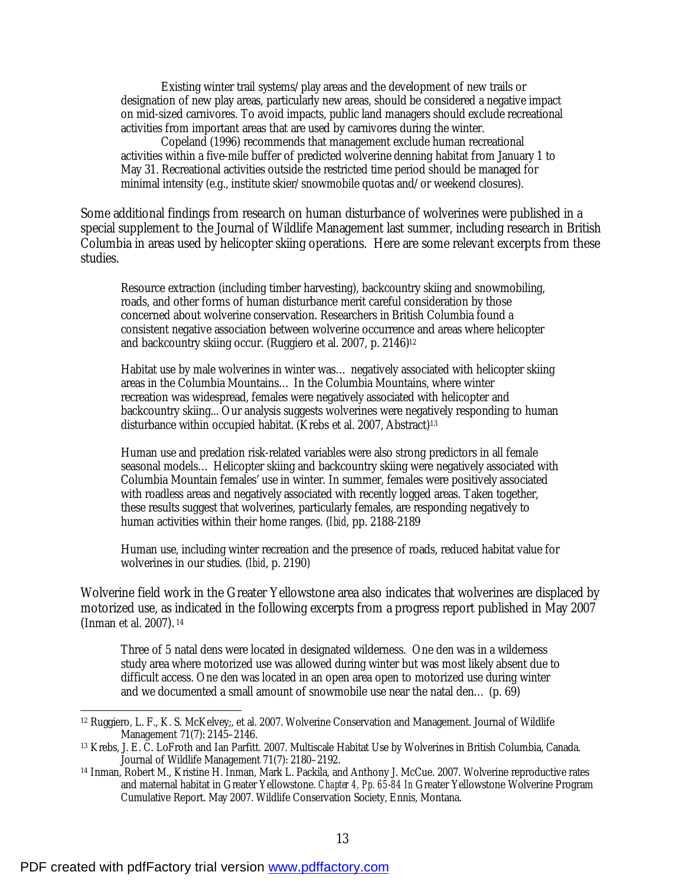Existing winter trail systems/play areas and the development of new trails or designation of new play areas, particularly new areas, should be considered a negative impact on mid-sized carnivores. To avoid impacts, public land managers should exclude recreational activities from important areas that are used by carnivores during the winter.

Copeland (1996) recommends that management exclude human recreational activities within a five-mile buffer of predicted wolverine denning habitat from January 1 to May 31. Recreational activities outside the restricted time period should be managed for minimal intensity (e.g., institute skier/snowmobile quotas and/or weekend closures).

Some additional findings from research on human disturbance of wolverines were published in a special supplement to the Journal of Wildlife Management last summer, including research in British Columbia in areas used by helicopter skiing operations. Here are some relevant excerpts from these studies.

Resource extraction (including timber harvesting), backcountry skiing and snowmobiling, roads, and other forms of human disturbance merit careful consideration by those concerned about wolverine conservation. Researchers in British Columbia found a consistent negative association between wolverine occurrence and areas where helicopter and backcountry skiing occur. (Ruggiero et al. 2007, p. 2146)<sup>12</sup>

Habitat use by male wolverines in winter was… negatively associated with helicopter skiing areas in the Columbia Mountains… In the Columbia Mountains, where winter recreation was widespread, females were negatively associated with helicopter and backcountry skiing... Our analysis suggests wolverines were negatively responding to human disturbance within occupied habitat. (Krebs et al. 2007, Abstract)<sup>13</sup>

Human use and predation risk-related variables were also strong predictors in all female seasonal models… Helicopter skiing and backcountry skiing were negatively associated with Columbia Mountain females' use in winter. In summer, females were positively associated with roadless areas and negatively associated with recently logged areas. Taken together, these results suggest that wolverines, particularly females, are responding negatively to human activities within their home ranges. (*Ibid*, pp. 2188-2189

Human use, including winter recreation and the presence of roads, reduced habitat value for wolverines in our studies. (*Ibid*, p. 2190)

Wolverine field work in the Greater Yellowstone area also indicates that wolverines are displaced by motorized use, as indicated in the following excerpts from a progress report published in May 2007 (Inman et al. 2007). <sup>14</sup>

Three of 5 natal dens were located in designated wilderness. One den was in a wilderness study area where motorized use was allowed during winter but was most likely absent due to difficult access. One den was located in an open area open to motorized use during winter and we documented a small amount of snowmobile use near the natal den… (p. 69)

-

<sup>12</sup> Ruggiero, L. F., K. S. McKelvey;, et al. 2007. Wolverine Conservation and Management. Journal of Wildlife Management 71(7): 2145–2146.

<sup>13</sup> Krebs, J. E. C. LoFroth and Ian Parfitt. 2007. Multiscale Habitat Use by Wolverines in British Columbia, Canada. Journal of Wildlife Management 71(7): 2180–2192.

<sup>14</sup> Inman, Robert M., Kristine H. Inman, Mark L. Packila, and Anthony J. McCue. 2007. Wolverine reproductive rates and maternal habitat in Greater Yellowstone. *Chapter 4, Pp. 65-84 In* Greater Yellowstone Wolverine Program Cumulative Report. May 2007. Wildlife Conservation Society, Ennis, Montana.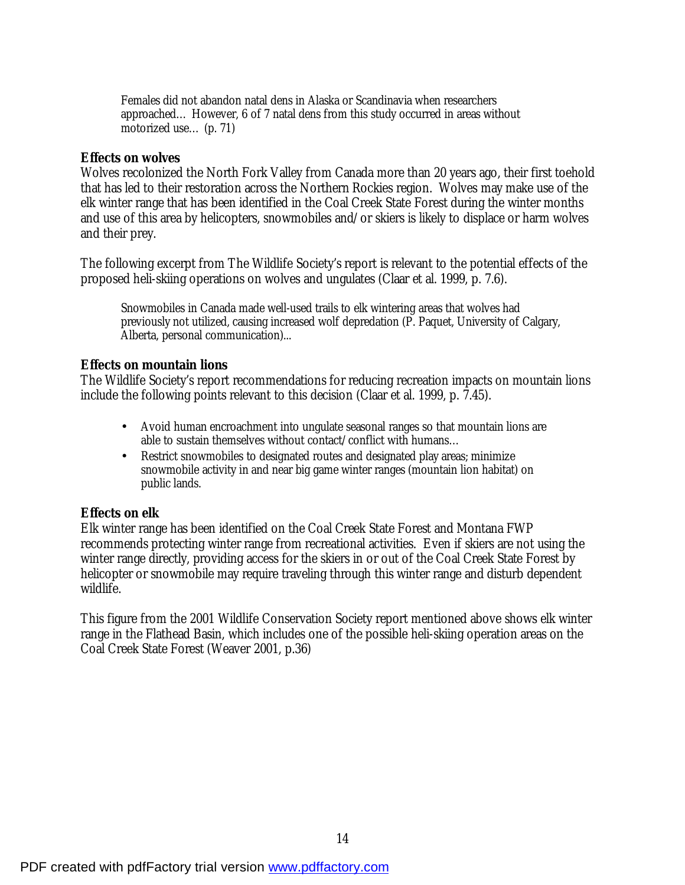Females did not abandon natal dens in Alaska or Scandinavia when researchers approached… However, 6 of 7 natal dens from this study occurred in areas without motorized use… (p. 71)

#### **Effects on wolves**

Wolves recolonized the North Fork Valley from Canada more than 20 years ago, their first toehold that has led to their restoration across the Northern Rockies region. Wolves may make use of the elk winter range that has been identified in the Coal Creek State Forest during the winter months and use of this area by helicopters, snowmobiles and/or skiers is likely to displace or harm wolves and their prey.

The following excerpt from The Wildlife Society's report is relevant to the potential effects of the proposed heli-skiing operations on wolves and ungulates (Claar et al. 1999, p. 7.6).

Snowmobiles in Canada made well-used trails to elk wintering areas that wolves had previously not utilized, causing increased wolf depredation (P. Paquet, University of Calgary, Alberta, personal communication)...

## **Effects on mountain lions**

The Wildlife Society's report recommendations for reducing recreation impacts on mountain lions include the following points relevant to this decision (Claar et al. 1999, p. 7.45).

- Avoid human encroachment into ungulate seasonal ranges so that mountain lions are able to sustain themselves without contact/conflict with humans…
- Restrict snowmobiles to designated routes and designated play areas; minimize snowmobile activity in and near big game winter ranges (mountain lion habitat) on public lands.

## **Effects on elk**

Elk winter range has been identified on the Coal Creek State Forest and Montana FWP recommends protecting winter range from recreational activities. Even if skiers are not using the winter range directly, providing access for the skiers in or out of the Coal Creek State Forest by helicopter or snowmobile may require traveling through this winter range and disturb dependent wildlife.

This figure from the 2001 Wildlife Conservation Society report mentioned above shows elk winter range in the Flathead Basin, which includes one of the possible heli-skiing operation areas on the Coal Creek State Forest (Weaver 2001, p.36)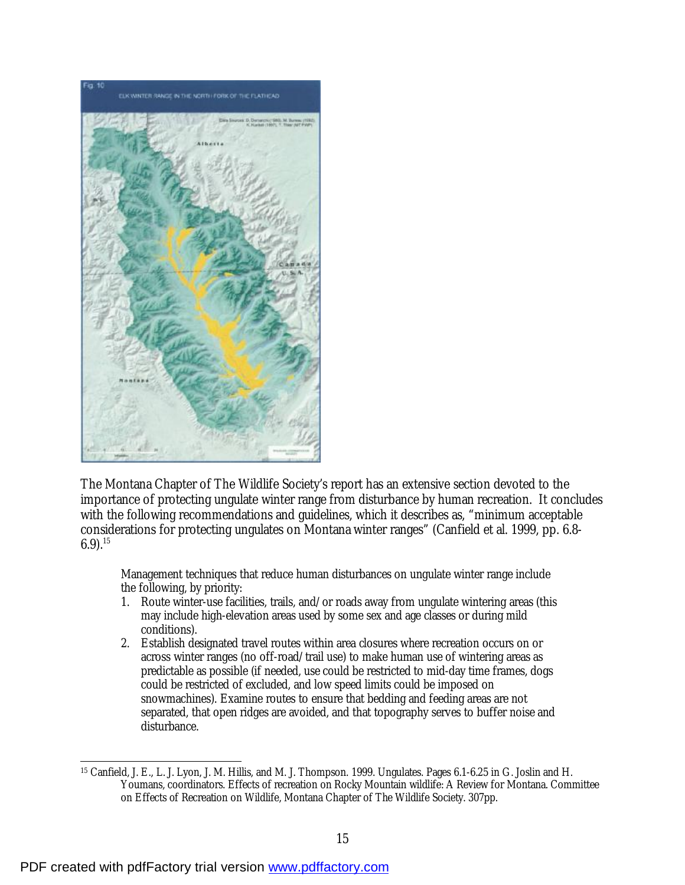

The Montana Chapter of The Wildlife Society's report has an extensive section devoted to the importance of protecting ungulate winter range from disturbance by human recreation. It concludes with the following recommendations and guidelines, which it describes as, "minimum acceptable considerations for protecting ungulates on Montana winter ranges" (Canfield et al. 1999, pp. 6.8-  $6.9$ .<sup>15</sup>

Management techniques that reduce human disturbances on ungulate winter range include the following, by priority:

- 1. Route winter-use facilities, trails, and/or roads away from ungulate wintering areas (this may include high-elevation areas used by some sex and age classes or during mild conditions).
- 2. Establish designated travel routes within area closures where recreation occurs on or across winter ranges (no off-road/trail use) to make human use of wintering areas as predictable as possible (if needed, use could be restricted to mid-day time frames, dogs could be restricted of excluded, and low speed limits could be imposed on snowmachines). Examine routes to ensure that bedding and feeding areas are not separated, that open ridges are avoided, and that topography serves to buffer noise and disturbance.

 $\overline{a}$ <sup>15</sup> Canfield, J. E., L. J. Lyon, J. M. Hillis, and M. J. Thompson. 1999. Ungulates. Pages 6.1-6.25 in G. Joslin and H. Youmans, coordinators. Effects of recreation on Rocky Mountain wildlife: A Review for Montana. Committee on Effects of Recreation on Wildlife, Montana Chapter of The Wildlife Society. 307pp.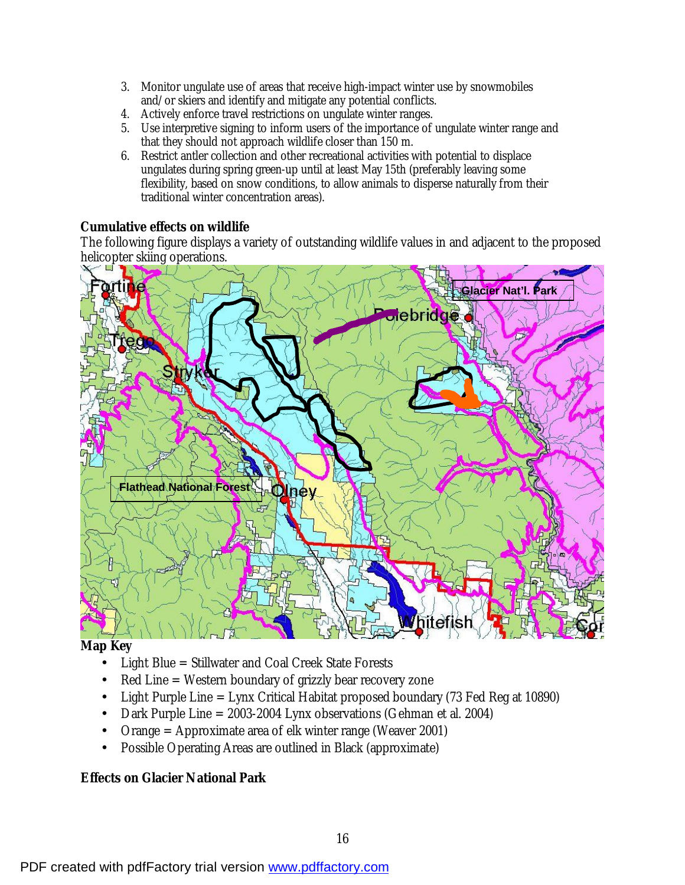- 3. Monitor ungulate use of areas that receive high-impact winter use by snowmobiles and/or skiers and identify and mitigate any potential conflicts.
- 4. Actively enforce travel restrictions on ungulate winter ranges.
- 5. Use interpretive signing to inform users of the importance of ungulate winter range and that they should not approach wildlife closer than 150 m.
- 6. Restrict antler collection and other recreational activities with potential to displace ungulates during spring green-up until at least May 15th (preferably leaving some flexibility, based on snow conditions, to allow animals to disperse naturally from their traditional winter concentration areas).

# **Cumulative effects on wildlife**

The following figure displays a variety of outstanding wildlife values in and adjacent to the proposed helicopter skiing operations.



**Map Key** 

- Light Blue = Stillwater and Coal Creek State Forests
- Red Line = Western boundary of grizzly bear recovery zone
- Light Purple Line = Lynx Critical Habitat proposed boundary (73 Fed Reg at 10890)
- Dark Purple Line = 2003-2004 Lynx observations (Gehman et al. 2004)
- Orange = Approximate area of elk winter range (Weaver 2001)
- Possible Operating Areas are outlined in Black (approximate)

# **Effects on Glacier National Park**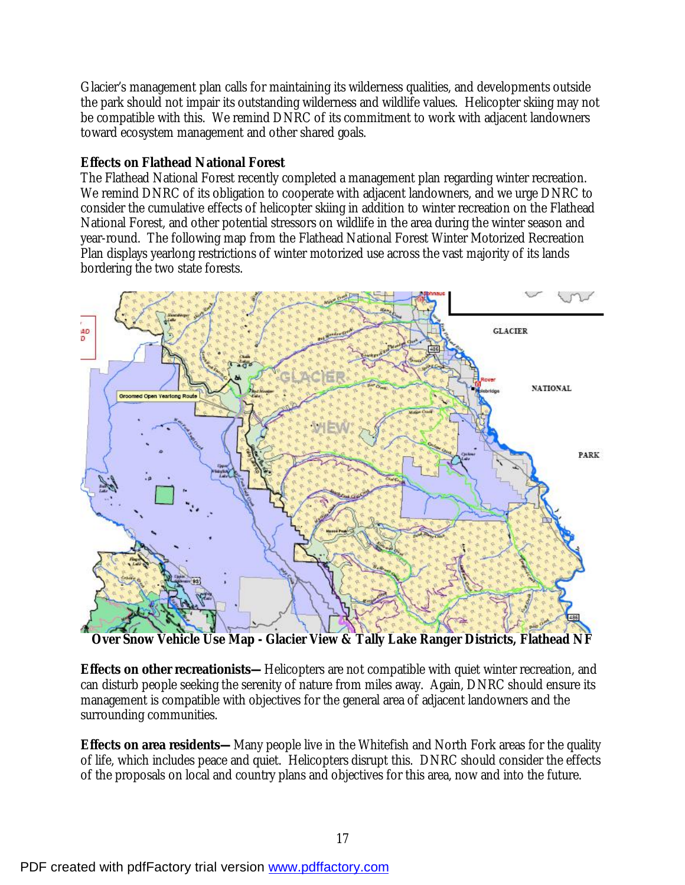Glacier's management plan calls for maintaining its wilderness qualities, and developments outside the park should not impair its outstanding wilderness and wildlife values. Helicopter skiing may not be compatible with this. We remind DNRC of its commitment to work with adjacent landowners toward ecosystem management and other shared goals.

# **Effects on Flathead National Forest**

The Flathead National Forest recently completed a management plan regarding winter recreation. We remind DNRC of its obligation to cooperate with adjacent landowners, and we urge DNRC to consider the cumulative effects of helicopter skiing in addition to winter recreation on the Flathead National Forest, and other potential stressors on wildlife in the area during the winter season and year-round. The following map from the Flathead National Forest Winter Motorized Recreation Plan displays yearlong restrictions of winter motorized use across the vast majority of its lands bordering the two state forests.



**Over Snow Vehicle Use Map - Glacier View & Tally Lake Ranger Districts, Flathead NF** 

**Effects on other recreationists—**Helicopters are not compatible with quiet winter recreation, and can disturb people seeking the serenity of nature from miles away. Again, DNRC should ensure its management is compatible with objectives for the general area of adjacent landowners and the surrounding communities.

**Effects on area residents—**Many people live in the Whitefish and North Fork areas for the quality of life, which includes peace and quiet. Helicopters disrupt this. DNRC should consider the effects of the proposals on local and country plans and objectives for this area, now and into the future.